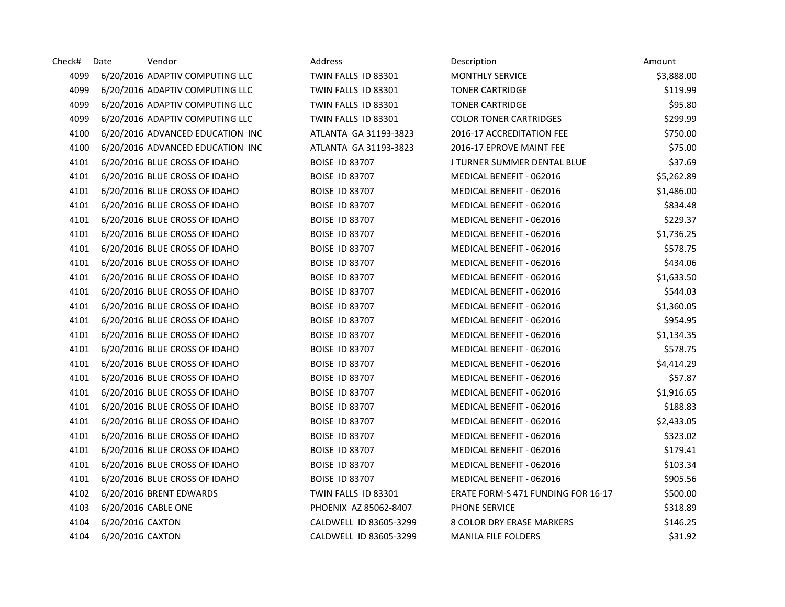| Check# | Date             | Vendor                           | Address                | Description                        | Amount     |
|--------|------------------|----------------------------------|------------------------|------------------------------------|------------|
| 4099   |                  | 6/20/2016 ADAPTIV COMPUTING LLC  | TWIN FALLS ID 83301    | <b>MONTHLY SERVICE</b>             | \$3,888.00 |
| 4099   |                  | 6/20/2016 ADAPTIV COMPUTING LLC  | TWIN FALLS ID 83301    | <b>TONER CARTRIDGE</b>             | \$119.99   |
| 4099   |                  | 6/20/2016 ADAPTIV COMPUTING LLC  | TWIN FALLS ID 83301    | <b>TONER CARTRIDGE</b>             | \$95.80    |
| 4099   |                  | 6/20/2016 ADAPTIV COMPUTING LLC  | TWIN FALLS ID 83301    | <b>COLOR TONER CARTRIDGES</b>      | \$299.99   |
| 4100   |                  | 6/20/2016 ADVANCED EDUCATION INC | ATLANTA GA 31193-3823  | 2016-17 ACCREDITATION FEE          | \$750.00   |
| 4100   |                  | 6/20/2016 ADVANCED EDUCATION INC | ATLANTA GA 31193-3823  | 2016-17 EPROVE MAINT FEE           | \$75.00    |
| 4101   |                  | 6/20/2016 BLUE CROSS OF IDAHO    | <b>BOISE ID 83707</b>  | J TURNER SUMMER DENTAL BLUE        | \$37.69    |
| 4101   |                  | 6/20/2016 BLUE CROSS OF IDAHO    | <b>BOISE ID 83707</b>  | MEDICAL BENEFIT - 062016           | \$5,262.89 |
| 4101   |                  | 6/20/2016 BLUE CROSS OF IDAHO    | <b>BOISE ID 83707</b>  | MEDICAL BENEFIT - 062016           | \$1,486.00 |
| 4101   |                  | 6/20/2016 BLUE CROSS OF IDAHO    | <b>BOISE ID 83707</b>  | MEDICAL BENEFIT - 062016           | \$834.48   |
| 4101   |                  | 6/20/2016 BLUE CROSS OF IDAHO    | <b>BOISE ID 83707</b>  | MEDICAL BENEFIT - 062016           | \$229.37   |
| 4101   |                  | 6/20/2016 BLUE CROSS OF IDAHO    | <b>BOISE ID 83707</b>  | MEDICAL BENEFIT - 062016           | \$1,736.25 |
| 4101   |                  | 6/20/2016 BLUE CROSS OF IDAHO    | <b>BOISE ID 83707</b>  | MEDICAL BENEFIT - 062016           | \$578.75   |
| 4101   |                  | 6/20/2016 BLUE CROSS OF IDAHO    | <b>BOISE ID 83707</b>  | MEDICAL BENEFIT - 062016           | \$434.06   |
| 4101   |                  | 6/20/2016 BLUE CROSS OF IDAHO    | <b>BOISE ID 83707</b>  | MEDICAL BENEFIT - 062016           | \$1,633.50 |
| 4101   |                  | 6/20/2016 BLUE CROSS OF IDAHO    | <b>BOISE ID 83707</b>  | MEDICAL BENEFIT - 062016           | \$544.03   |
| 4101   |                  | 6/20/2016 BLUE CROSS OF IDAHO    | <b>BOISE ID 83707</b>  | MEDICAL BENEFIT - 062016           | \$1,360.05 |
| 4101   |                  | 6/20/2016 BLUE CROSS OF IDAHO    | <b>BOISE ID 83707</b>  | MEDICAL BENEFIT - 062016           | \$954.95   |
| 4101   |                  | 6/20/2016 BLUE CROSS OF IDAHO    | <b>BOISE ID 83707</b>  | MEDICAL BENEFIT - 062016           | \$1,134.35 |
| 4101   |                  | 6/20/2016 BLUE CROSS OF IDAHO    | <b>BOISE ID 83707</b>  | MEDICAL BENEFIT - 062016           | \$578.75   |
| 4101   |                  | 6/20/2016 BLUE CROSS OF IDAHO    | <b>BOISE ID 83707</b>  | MEDICAL BENEFIT - 062016           | \$4,414.29 |
| 4101   |                  | 6/20/2016 BLUE CROSS OF IDAHO    | <b>BOISE ID 83707</b>  | MEDICAL BENEFIT - 062016           | \$57.87    |
| 4101   |                  | 6/20/2016 BLUE CROSS OF IDAHO    | <b>BOISE ID 83707</b>  | MEDICAL BENEFIT - 062016           | \$1,916.65 |
| 4101   |                  | 6/20/2016 BLUE CROSS OF IDAHO    | <b>BOISE ID 83707</b>  | MEDICAL BENEFIT - 062016           | \$188.83   |
| 4101   |                  | 6/20/2016 BLUE CROSS OF IDAHO    | <b>BOISE ID 83707</b>  | MEDICAL BENEFIT - 062016           | \$2,433.05 |
| 4101   |                  | 6/20/2016 BLUE CROSS OF IDAHO    | <b>BOISE ID 83707</b>  | MEDICAL BENEFIT - 062016           | \$323.02   |
| 4101   |                  | 6/20/2016 BLUE CROSS OF IDAHO    | <b>BOISE ID 83707</b>  | MEDICAL BENEFIT - 062016           | \$179.41   |
| 4101   |                  | 6/20/2016 BLUE CROSS OF IDAHO    | <b>BOISE ID 83707</b>  | MEDICAL BENEFIT - 062016           | \$103.34   |
| 4101   |                  | 6/20/2016 BLUE CROSS OF IDAHO    | <b>BOISE ID 83707</b>  | MEDICAL BENEFIT - 062016           | \$905.56   |
| 4102   |                  | 6/20/2016 BRENT EDWARDS          | TWIN FALLS ID 83301    | ERATE FORM-S 471 FUNDING FOR 16-17 | \$500.00   |
| 4103   |                  | 6/20/2016 CABLE ONE              | PHOENIX AZ 85062-8407  | PHONE SERVICE                      | \$318.89   |
| 4104   | 6/20/2016 CAXTON |                                  | CALDWELL ID 83605-3299 | 8 COLOR DRY ERASE MARKERS          | \$146.25   |
| 4104   | 6/20/2016 CAXTON |                                  | CALDWELL ID 83605-3299 | <b>MANILA FILE FOLDERS</b>         | \$31.92    |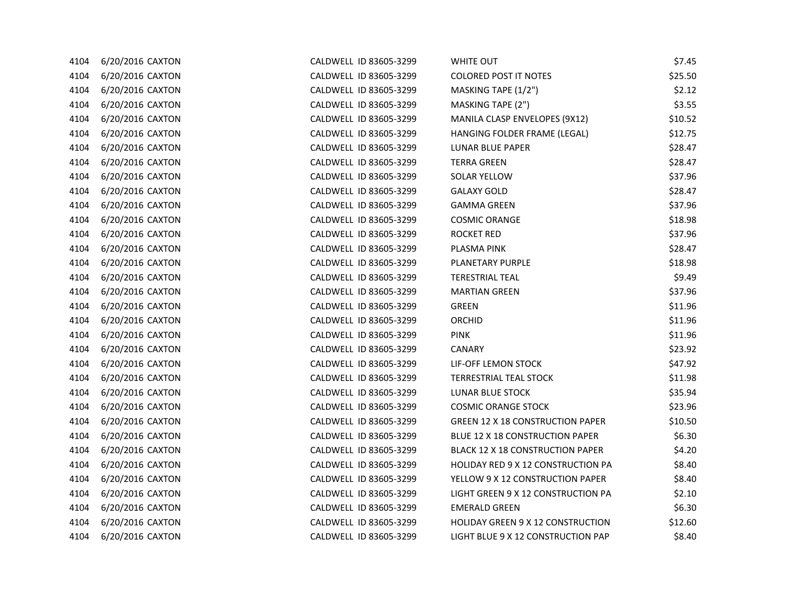| 4104 | 6/20/2016 CAXTON | CALDWELL ID 83605-3299 | WHITE OUT                                 | \$7.45  |
|------|------------------|------------------------|-------------------------------------------|---------|
| 4104 | 6/20/2016 CAXTON | CALDWELL ID 83605-3299 | <b>COLORED POST IT NOTES</b>              | \$25.50 |
| 4104 | 6/20/2016 CAXTON | CALDWELL ID 83605-3299 | MASKING TAPE (1/2")                       | \$2.12  |
| 4104 | 6/20/2016 CAXTON | CALDWELL ID 83605-3299 | MASKING TAPE (2")                         | \$3.55  |
| 4104 | 6/20/2016 CAXTON | CALDWELL ID 83605-3299 | MANILA CLASP ENVELOPES (9X12)             | \$10.52 |
| 4104 | 6/20/2016 CAXTON | CALDWELL ID 83605-3299 | HANGING FOLDER FRAME (LEGAL)              | \$12.75 |
| 4104 | 6/20/2016 CAXTON | CALDWELL ID 83605-3299 | LUNAR BLUE PAPER                          | \$28.47 |
| 4104 | 6/20/2016 CAXTON | CALDWELL ID 83605-3299 | <b>TERRA GREEN</b>                        | \$28.47 |
| 4104 | 6/20/2016 CAXTON | CALDWELL ID 83605-3299 | SOLAR YELLOW                              | \$37.96 |
| 4104 | 6/20/2016 CAXTON | CALDWELL ID 83605-3299 | <b>GALAXY GOLD</b>                        | \$28.47 |
| 4104 | 6/20/2016 CAXTON | CALDWELL ID 83605-3299 | <b>GAMMA GREEN</b>                        | \$37.96 |
| 4104 | 6/20/2016 CAXTON | CALDWELL ID 83605-3299 | <b>COSMIC ORANGE</b>                      | \$18.98 |
| 4104 | 6/20/2016 CAXTON | CALDWELL ID 83605-3299 | ROCKET RED                                | \$37.96 |
| 4104 | 6/20/2016 CAXTON | CALDWELL ID 83605-3299 | PLASMA PINK                               | \$28.47 |
| 4104 | 6/20/2016 CAXTON | CALDWELL ID 83605-3299 | PLANETARY PURPLE                          | \$18.98 |
| 4104 | 6/20/2016 CAXTON | CALDWELL ID 83605-3299 | <b>TERESTRIAL TEAL</b>                    | \$9.49  |
| 4104 | 6/20/2016 CAXTON | CALDWELL ID 83605-3299 | <b>MARTIAN GREEN</b>                      | \$37.96 |
| 4104 | 6/20/2016 CAXTON | CALDWELL ID 83605-3299 | <b>GREEN</b>                              | \$11.96 |
| 4104 | 6/20/2016 CAXTON | CALDWELL ID 83605-3299 | ORCHID                                    | \$11.96 |
| 4104 | 6/20/2016 CAXTON | CALDWELL ID 83605-3299 | <b>PINK</b>                               | \$11.96 |
| 4104 | 6/20/2016 CAXTON | CALDWELL ID 83605-3299 | <b>CANARY</b>                             | \$23.92 |
| 4104 | 6/20/2016 CAXTON | CALDWELL ID 83605-3299 | LIF-OFF LEMON STOCK                       | \$47.92 |
| 4104 | 6/20/2016 CAXTON | CALDWELL ID 83605-3299 | <b>TERRESTRIAL TEAL STOCK</b>             | \$11.98 |
| 4104 | 6/20/2016 CAXTON | CALDWELL ID 83605-3299 | LUNAR BLUE STOCK                          | \$35.94 |
| 4104 | 6/20/2016 CAXTON | CALDWELL ID 83605-3299 | <b>COSMIC ORANGE STOCK</b>                | \$23.96 |
| 4104 | 6/20/2016 CAXTON | CALDWELL ID 83605-3299 | <b>GREEN 12 X 18 CONSTRUCTION PAPER</b>   | \$10.50 |
| 4104 | 6/20/2016 CAXTON | CALDWELL ID 83605-3299 | BLUE 12 X 18 CONSTRUCTION PAPER           | \$6.30  |
| 4104 | 6/20/2016 CAXTON | CALDWELL ID 83605-3299 | <b>BLACK 12 X 18 CONSTRUCTION PAPER</b>   | \$4.20  |
| 4104 | 6/20/2016 CAXTON | CALDWELL ID 83605-3299 | <b>HOLIDAY RED 9 X 12 CONSTRUCTION PA</b> | \$8.40  |
| 4104 | 6/20/2016 CAXTON | CALDWELL ID 83605-3299 | YELLOW 9 X 12 CONSTRUCTION PAPER          | \$8.40  |
| 4104 | 6/20/2016 CAXTON | CALDWELL ID 83605-3299 | LIGHT GREEN 9 X 12 CONSTRUCTION PA        | \$2.10  |
| 4104 | 6/20/2016 CAXTON | CALDWELL ID 83605-3299 | <b>EMERALD GREEN</b>                      | \$6.30  |
| 4104 | 6/20/2016 CAXTON | CALDWELL ID 83605-3299 | HOLIDAY GREEN 9 X 12 CONSTRUCTION         | \$12.60 |
| 4104 | 6/20/2016 CAXTON | CALDWELL ID 83605-3299 | LIGHT BLUE 9 X 12 CONSTRUCTION PAP        | \$8.40  |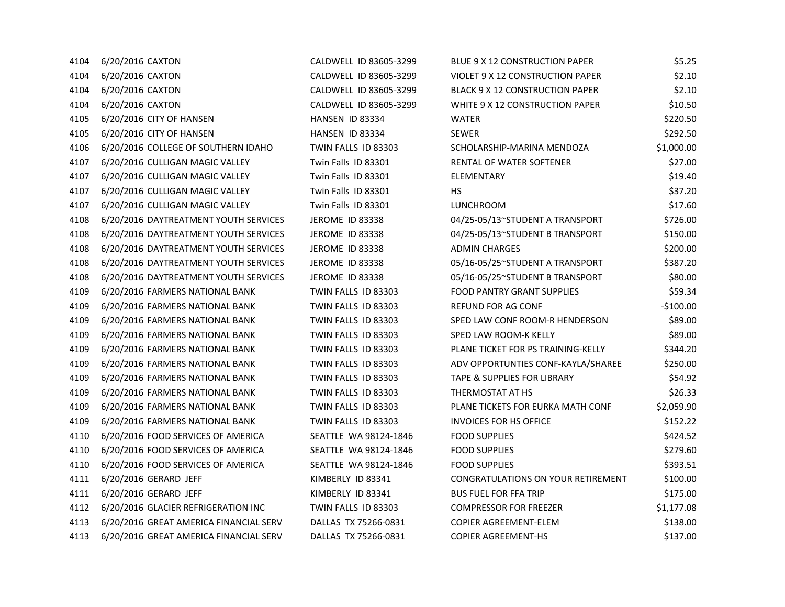| 4104 | 6/20/2016 CAXTON                       | CALDWELL ID 83605-3299 | BLUE 9 X 12 CONSTRUCTION PAPER            | \$5.25     |
|------|----------------------------------------|------------------------|-------------------------------------------|------------|
| 4104 | 6/20/2016 CAXTON                       | CALDWELL ID 83605-3299 | VIOLET 9 X 12 CONSTRUCTION PAPER          | \$2.10     |
| 4104 | 6/20/2016 CAXTON                       | CALDWELL ID 83605-3299 | <b>BLACK 9 X 12 CONSTRUCTION PAPER</b>    | \$2.10     |
| 4104 | 6/20/2016 CAXTON                       | CALDWELL ID 83605-3299 | WHITE 9 X 12 CONSTRUCTION PAPER           | \$10.50    |
| 4105 | 6/20/2016 CITY OF HANSEN               | HANSEN ID 83334        | <b>WATER</b>                              | \$220.50   |
| 4105 | 6/20/2016 CITY OF HANSEN               | HANSEN ID 83334        | <b>SEWER</b>                              | \$292.50   |
| 4106 | 6/20/2016 COLLEGE OF SOUTHERN IDAHO    | TWIN FALLS ID 83303    | SCHOLARSHIP-MARINA MENDOZA                | \$1,000.00 |
| 4107 | 6/20/2016 CULLIGAN MAGIC VALLEY        | Twin Falls ID 83301    | <b>RENTAL OF WATER SOFTENER</b>           | \$27.00    |
| 4107 | 6/20/2016 CULLIGAN MAGIC VALLEY        | Twin Falls ID 83301    | <b>ELEMENTARY</b>                         | \$19.40    |
| 4107 | 6/20/2016 CULLIGAN MAGIC VALLEY        | Twin Falls ID 83301    | HS.                                       | \$37.20    |
| 4107 | 6/20/2016 CULLIGAN MAGIC VALLEY        | Twin Falls ID 83301    | <b>LUNCHROOM</b>                          | \$17.60    |
| 4108 | 6/20/2016 DAYTREATMENT YOUTH SERVICES  | <b>JEROME ID 83338</b> | 04/25-05/13~STUDENT A TRANSPORT           | \$726.00   |
| 4108 | 6/20/2016 DAYTREATMENT YOUTH SERVICES  | JEROME ID 83338        | 04/25-05/13~STUDENT B TRANSPORT           | \$150.00   |
| 4108 | 6/20/2016 DAYTREATMENT YOUTH SERVICES  | <b>JEROME ID 83338</b> | <b>ADMIN CHARGES</b>                      | \$200.00   |
| 4108 | 6/20/2016 DAYTREATMENT YOUTH SERVICES  | JEROME ID 83338        | 05/16-05/25~STUDENT A TRANSPORT           | \$387.20   |
| 4108 | 6/20/2016 DAYTREATMENT YOUTH SERVICES  | JEROME ID 83338        | 05/16-05/25~STUDENT B TRANSPORT           | \$80.00    |
| 4109 | 6/20/2016 FARMERS NATIONAL BANK        | TWIN FALLS ID 83303    | <b>FOOD PANTRY GRANT SUPPLIES</b>         | \$59.34    |
| 4109 | 6/20/2016 FARMERS NATIONAL BANK        | TWIN FALLS ID 83303    | <b>REFUND FOR AG CONF</b>                 | $-$100.00$ |
| 4109 | 6/20/2016 FARMERS NATIONAL BANK        | TWIN FALLS ID 83303    | SPED LAW CONF ROOM-R HENDERSON            | \$89.00    |
| 4109 | 6/20/2016 FARMERS NATIONAL BANK        | TWIN FALLS ID 83303    | SPED LAW ROOM-K KELLY                     | \$89.00    |
| 4109 | 6/20/2016 FARMERS NATIONAL BANK        | TWIN FALLS ID 83303    | PLANE TICKET FOR PS TRAINING-KELLY        | \$344.20   |
| 4109 | 6/20/2016 FARMERS NATIONAL BANK        | TWIN FALLS ID 83303    | ADV OPPORTUNTIES CONF-KAYLA/SHAREE        | \$250.00   |
| 4109 | 6/20/2016 FARMERS NATIONAL BANK        | TWIN FALLS ID 83303    | <b>TAPE &amp; SUPPLIES FOR LIBRARY</b>    | \$54.92    |
| 4109 | 6/20/2016 FARMERS NATIONAL BANK        | TWIN FALLS ID 83303    | THERMOSTAT AT HS                          | \$26.33    |
| 4109 | 6/20/2016 FARMERS NATIONAL BANK        | TWIN FALLS ID 83303    | PLANE TICKETS FOR EURKA MATH CONF         | \$2,059.90 |
| 4109 | 6/20/2016 FARMERS NATIONAL BANK        | TWIN FALLS ID 83303    | <b>INVOICES FOR HS OFFICE</b>             | \$152.22   |
| 4110 | 6/20/2016 FOOD SERVICES OF AMERICA     | SEATTLE WA 98124-1846  | <b>FOOD SUPPLIES</b>                      | \$424.52   |
| 4110 | 6/20/2016 FOOD SERVICES OF AMERICA     | SEATTLE WA 98124-1846  | <b>FOOD SUPPLIES</b>                      | \$279.60   |
| 4110 | 6/20/2016 FOOD SERVICES OF AMERICA     | SEATTLE WA 98124-1846  | <b>FOOD SUPPLIES</b>                      | \$393.51   |
| 4111 | 6/20/2016 GERARD JEFF                  | KIMBERLY ID 83341      | <b>CONGRATULATIONS ON YOUR RETIREMENT</b> | \$100.00   |
| 4111 | 6/20/2016 GERARD JEFF                  | KIMBERLY ID 83341      | <b>BUS FUEL FOR FFA TRIP</b>              | \$175.00   |
| 4112 | 6/20/2016 GLACIER REFRIGERATION INC    | TWIN FALLS ID 83303    | <b>COMPRESSOR FOR FREEZER</b>             | \$1,177.08 |
| 4113 | 6/20/2016 GREAT AMERICA FINANCIAL SERV | DALLAS TX 75266-0831   | COPIER AGREEMENT-ELEM                     | \$138.00   |
| 4113 | 6/20/2016 GREAT AMERICA FINANCIAL SERV | DALLAS TX 75266-0831   | <b>COPIER AGREEMENT-HS</b>                | \$137.00   |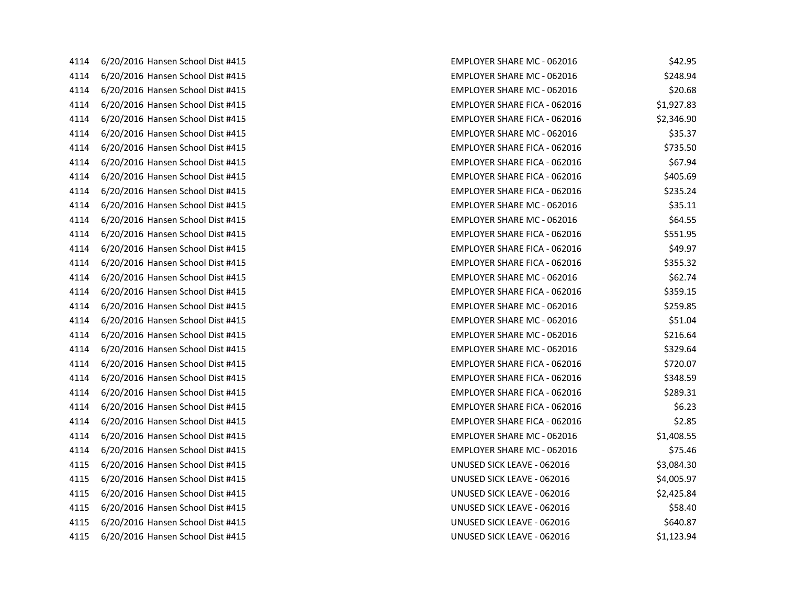| 4114 | 6/20/2016 Hansen School Dist #415 |
|------|-----------------------------------|
| 4114 | 6/20/2016 Hansen School Dist #415 |
| 4114 | 6/20/2016 Hansen School Dist #415 |
| 4114 | 6/20/2016 Hansen School Dist #415 |
| 4114 | 6/20/2016 Hansen School Dist #415 |
| 4114 | 6/20/2016 Hansen School Dist #415 |
| 4114 | 6/20/2016 Hansen School Dist #415 |
| 4114 | 6/20/2016 Hansen School Dist #415 |
| 4114 | 6/20/2016 Hansen School Dist #415 |
| 4114 | 6/20/2016 Hansen School Dist #415 |
| 4114 | 6/20/2016 Hansen School Dist #415 |
| 4114 | 6/20/2016 Hansen School Dist #415 |
| 4114 | 6/20/2016 Hansen School Dist #415 |
| 4114 | 6/20/2016 Hansen School Dist #415 |
| 4114 | 6/20/2016 Hansen School Dist #415 |
| 4114 | 6/20/2016 Hansen School Dist #415 |
| 4114 | 6/20/2016 Hansen School Dist #415 |
| 4114 | 6/20/2016 Hansen School Dist #415 |
| 4114 | 6/20/2016 Hansen School Dist #415 |
| 4114 | 6/20/2016 Hansen School Dist #415 |
| 4114 | 6/20/2016 Hansen School Dist #415 |
| 4114 | 6/20/2016 Hansen School Dist #415 |
| 4114 | 6/20/2016 Hansen School Dist #415 |
| 4114 | 6/20/2016 Hansen School Dist #415 |
| 4114 | 6/20/2016 Hansen School Dist #415 |
| 4114 | 6/20/2016 Hansen School Dist #415 |
| 4114 | 6/20/2016 Hansen School Dist #415 |
| 4114 | 6/20/2016 Hansen School Dist #415 |
| 4115 | 6/20/2016 Hansen School Dist #415 |
| 4115 | 6/20/2016 Hansen School Dist #415 |
| 4115 | 6/20/2016 Hansen School Dist #415 |
| 4115 | 6/20/2016 Hansen School Dist #415 |
| 4115 | 6/20/2016 Hansen School Dist #415 |
| 4115 | 6/20/2016 Hansen School Dist #415 |

| 4114 | 6/20/2016 Hansen School Dist #415 | <b>EMPLOYER SHARE MC - 062016</b>   | \$42.95    |
|------|-----------------------------------|-------------------------------------|------------|
| 4114 | 6/20/2016 Hansen School Dist #415 | <b>EMPLOYER SHARE MC - 062016</b>   | \$248.94   |
| 4114 | 6/20/2016 Hansen School Dist #415 | <b>EMPLOYER SHARE MC - 062016</b>   | \$20.68    |
| 4114 | 6/20/2016 Hansen School Dist #415 | <b>EMPLOYER SHARE FICA - 062016</b> | \$1,927.83 |
| 4114 | 6/20/2016 Hansen School Dist #415 | <b>EMPLOYER SHARE FICA - 062016</b> | \$2,346.90 |
| 4114 | 6/20/2016 Hansen School Dist #415 | <b>EMPLOYER SHARE MC - 062016</b>   | \$35.37    |
| 4114 | 6/20/2016 Hansen School Dist #415 | <b>EMPLOYER SHARE FICA - 062016</b> | \$735.50   |
| 4114 | 6/20/2016 Hansen School Dist #415 | <b>EMPLOYER SHARE FICA - 062016</b> | \$67.94    |
| 4114 | 6/20/2016 Hansen School Dist #415 | <b>EMPLOYER SHARE FICA - 062016</b> | \$405.69   |
| 4114 | 6/20/2016 Hansen School Dist #415 | EMPLOYER SHARE FICA - 062016        | \$235.24   |
| 4114 | 6/20/2016 Hansen School Dist #415 | <b>EMPLOYER SHARE MC - 062016</b>   | \$35.11    |
| 4114 | 6/20/2016 Hansen School Dist #415 | <b>EMPLOYER SHARE MC - 062016</b>   | \$64.55    |
| 4114 | 6/20/2016 Hansen School Dist #415 | <b>EMPLOYER SHARE FICA - 062016</b> | \$551.95   |
| 4114 | 6/20/2016 Hansen School Dist #415 | <b>EMPLOYER SHARE FICA - 062016</b> | \$49.97    |
| 4114 | 6/20/2016 Hansen School Dist #415 | EMPLOYER SHARE FICA - 062016        | \$355.32   |
| 4114 | 6/20/2016 Hansen School Dist #415 | <b>EMPLOYER SHARE MC - 062016</b>   | \$62.74    |
| 4114 | 6/20/2016 Hansen School Dist #415 | <b>EMPLOYER SHARE FICA - 062016</b> | \$359.15   |
| 4114 | 6/20/2016 Hansen School Dist #415 | <b>EMPLOYER SHARE MC - 062016</b>   | \$259.85   |
| 4114 | 6/20/2016 Hansen School Dist #415 | <b>EMPLOYER SHARE MC - 062016</b>   | \$51.04    |
| 4114 | 6/20/2016 Hansen School Dist #415 | EMPLOYER SHARE MC - 062016          | \$216.64   |
| 4114 | 6/20/2016 Hansen School Dist #415 | <b>EMPLOYER SHARE MC - 062016</b>   | \$329.64   |
| 4114 | 6/20/2016 Hansen School Dist #415 | <b>EMPLOYER SHARE FICA - 062016</b> | \$720.07   |
| 4114 | 6/20/2016 Hansen School Dist #415 | <b>EMPLOYER SHARE FICA - 062016</b> | \$348.59   |
| 4114 | 6/20/2016 Hansen School Dist #415 | <b>EMPLOYER SHARE FICA - 062016</b> | \$289.31   |
| 4114 | 6/20/2016 Hansen School Dist #415 | EMPLOYER SHARE FICA - 062016        | \$6.23     |
| 4114 | 6/20/2016 Hansen School Dist #415 | <b>EMPLOYER SHARE FICA - 062016</b> | \$2.85     |
| 4114 | 6/20/2016 Hansen School Dist #415 | <b>EMPLOYER SHARE MC - 062016</b>   | \$1,408.55 |
| 4114 | 6/20/2016 Hansen School Dist #415 | <b>EMPLOYER SHARE MC - 062016</b>   | \$75.46    |
| 4115 | 6/20/2016 Hansen School Dist #415 | UNUSED SICK LEAVE - 062016          | \$3,084.30 |
| 4115 | 6/20/2016 Hansen School Dist #415 | UNUSED SICK LEAVE - 062016          | \$4,005.97 |
| 4115 | 6/20/2016 Hansen School Dist #415 | UNUSED SICK LEAVE - 062016          | \$2,425.84 |
| 4115 | 6/20/2016 Hansen School Dist #415 | UNUSED SICK LEAVE - 062016          | \$58.40    |
| 4115 | 6/20/2016 Hansen School Dist #415 | UNUSED SICK LEAVE - 062016          | \$640.87   |
| 4115 | 6/20/2016 Hansen School Dist #415 | UNUSED SICK LEAVE - 062016          | \$1,123.94 |
|      |                                   |                                     |            |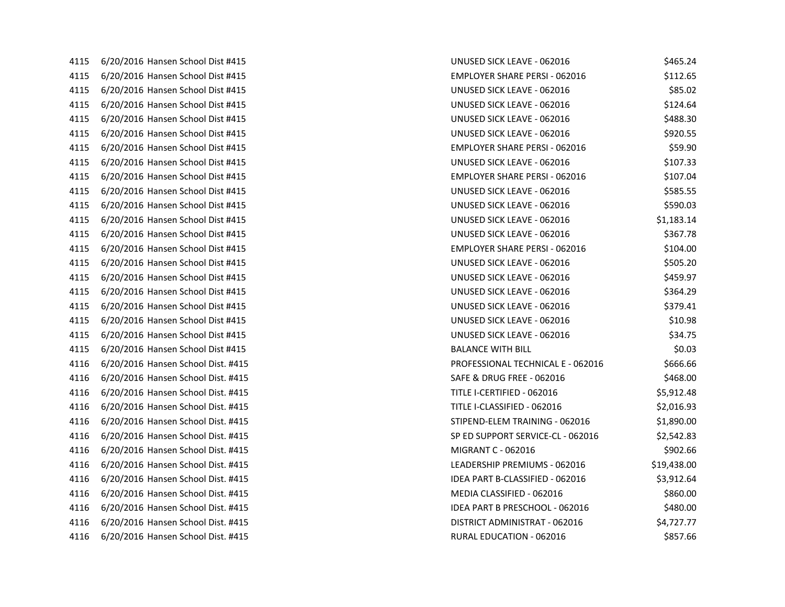| 4115 | 6/20/2016 Hansen School Dist #415  |
|------|------------------------------------|
| 4115 | 6/20/2016 Hansen School Dist #415  |
| 4115 | 6/20/2016 Hansen School Dist #415  |
| 4115 | 6/20/2016 Hansen School Dist #415  |
| 4115 | 6/20/2016 Hansen School Dist #415  |
| 4115 | 6/20/2016 Hansen School Dist #415  |
| 4115 | 6/20/2016 Hansen School Dist #415  |
| 4115 | 6/20/2016 Hansen School Dist #415  |
| 4115 | 6/20/2016 Hansen School Dist #415  |
| 4115 | 6/20/2016 Hansen School Dist #415  |
| 4115 | 6/20/2016 Hansen School Dist #415  |
| 4115 | 6/20/2016 Hansen School Dist #415  |
| 4115 | 6/20/2016 Hansen School Dist #415  |
| 4115 | 6/20/2016 Hansen School Dist #415  |
| 4115 | 6/20/2016 Hansen School Dist #415  |
| 4115 | 6/20/2016 Hansen School Dist #415  |
| 4115 | 6/20/2016 Hansen School Dist #415  |
| 4115 | 6/20/2016 Hansen School Dist #415  |
| 4115 | 6/20/2016 Hansen School Dist #415  |
| 4115 | 6/20/2016 Hansen School Dist #415  |
| 4115 | 6/20/2016 Hansen School Dist #415  |
| 4116 | 6/20/2016 Hansen School Dist. #415 |
| 4116 | 6/20/2016 Hansen School Dist. #415 |
| 4116 | 6/20/2016 Hansen School Dist. #415 |
| 4116 | 6/20/2016 Hansen School Dist. #415 |
| 4116 | 6/20/2016 Hansen School Dist. #415 |
| 4116 | 6/20/2016 Hansen School Dist. #415 |
| 4116 | 6/20/2016 Hansen School Dist. #415 |
| 4116 | 6/20/2016 Hansen School Dist. #415 |
| 4116 | 6/20/2016 Hansen School Dist. #415 |
| 4116 | 6/20/2016 Hansen School Dist. #415 |
| 4116 | 6/20/2016 Hansen School Dist. #415 |
| 4116 | 6/20/2016 Hansen School Dist. #415 |
| 4116 | 6/20/2016 Hansen School Dist. #415 |

| 4115 | 6/20/2016 Hansen School Dist #415  | UNUSED SICK LEAVE - 062016           | \$465.24    |
|------|------------------------------------|--------------------------------------|-------------|
| 4115 | 6/20/2016 Hansen School Dist #415  | <b>EMPLOYER SHARE PERSI - 062016</b> | \$112.65    |
| 4115 | 6/20/2016 Hansen School Dist #415  | UNUSED SICK LEAVE - 062016           | \$85.02     |
| 4115 | 6/20/2016 Hansen School Dist #415  | UNUSED SICK LEAVE - 062016           | \$124.64    |
| 4115 | 6/20/2016 Hansen School Dist #415  | UNUSED SICK LEAVE - 062016           | \$488.30    |
| 4115 | 6/20/2016 Hansen School Dist #415  | UNUSED SICK LEAVE - 062016           | \$920.55    |
| 4115 | 6/20/2016 Hansen School Dist #415  | <b>EMPLOYER SHARE PERSI - 062016</b> | \$59.90     |
| 4115 | 6/20/2016 Hansen School Dist #415  | UNUSED SICK LEAVE - 062016           | \$107.33    |
| 4115 | 6/20/2016 Hansen School Dist #415  | <b>EMPLOYER SHARE PERSI - 062016</b> | \$107.04    |
| 4115 | 6/20/2016 Hansen School Dist #415  | UNUSED SICK LEAVE - 062016           | \$585.55    |
| 4115 | 6/20/2016 Hansen School Dist #415  | UNUSED SICK LEAVE - 062016           | \$590.03    |
| 4115 | 6/20/2016 Hansen School Dist #415  | UNUSED SICK LEAVE - 062016           | \$1,183.14  |
| 4115 | 6/20/2016 Hansen School Dist #415  | UNUSED SICK LEAVE - 062016           | \$367.78    |
| 4115 | 6/20/2016 Hansen School Dist #415  | <b>EMPLOYER SHARE PERSI - 062016</b> | \$104.00    |
| 4115 | 6/20/2016 Hansen School Dist #415  | UNUSED SICK LEAVE - 062016           | \$505.20    |
| 4115 | 6/20/2016 Hansen School Dist #415  | UNUSED SICK LEAVE - 062016           | \$459.97    |
| 4115 | 6/20/2016 Hansen School Dist #415  | UNUSED SICK LEAVE - 062016           | \$364.29    |
| 4115 | 6/20/2016 Hansen School Dist #415  | UNUSED SICK LEAVE - 062016           | \$379.41    |
| 4115 | 6/20/2016 Hansen School Dist #415  | UNUSED SICK LEAVE - 062016           | \$10.98     |
| 4115 | 6/20/2016 Hansen School Dist #415  | UNUSED SICK LEAVE - 062016           | \$34.75     |
| 4115 | 6/20/2016 Hansen School Dist #415  | <b>BALANCE WITH BILL</b>             | \$0.03      |
| 4116 | 6/20/2016 Hansen School Dist. #415 | PROFESSIONAL TECHNICAL E - 062016    | \$666.66    |
| 4116 | 6/20/2016 Hansen School Dist. #415 | SAFE & DRUG FREE - 062016            | \$468.00    |
| 4116 | 6/20/2016 Hansen School Dist. #415 | TITLE I-CERTIFIED - 062016           | \$5,912.48  |
| 4116 | 6/20/2016 Hansen School Dist. #415 | TITLE I-CLASSIFIED - 062016          | \$2,016.93  |
| 4116 | 6/20/2016 Hansen School Dist. #415 | STIPEND-ELEM TRAINING - 062016       | \$1,890.00  |
| 4116 | 6/20/2016 Hansen School Dist. #415 | SP ED SUPPORT SERVICE-CL - 062016    | \$2,542.83  |
| 4116 | 6/20/2016 Hansen School Dist. #415 | MIGRANT C - 062016                   | \$902.66    |
| 4116 | 6/20/2016 Hansen School Dist. #415 | LEADERSHIP PREMIUMS - 062016         | \$19,438.00 |
| 4116 | 6/20/2016 Hansen School Dist. #415 | IDEA PART B-CLASSIFIED - 062016      | \$3,912.64  |
| 4116 | 6/20/2016 Hansen School Dist. #415 | MEDIA CLASSIFIED - 062016            | \$860.00    |
| 4116 | 6/20/2016 Hansen School Dist. #415 | IDEA PART B PRESCHOOL - 062016       | \$480.00    |
| 4116 | 6/20/2016 Hansen School Dist. #415 | DISTRICT ADMINISTRAT - 062016        | \$4,727.77  |
| 4116 | 6/20/2016 Hansen School Dist. #415 | RURAL EDUCATION - 062016             | \$857.66    |
|      |                                    |                                      |             |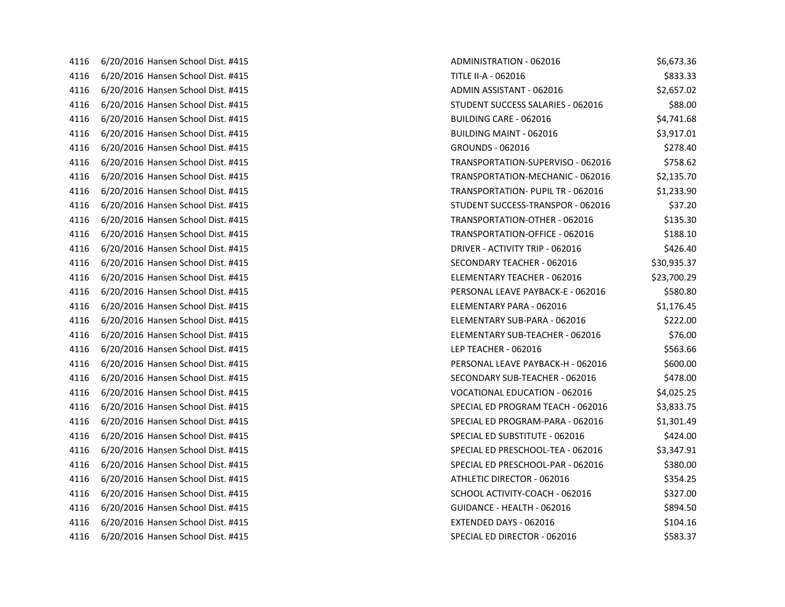| 4116 | 6/20/2016 Hansen School Dist. #415 |
|------|------------------------------------|
| 4116 | 6/20/2016 Hansen School Dist. #415 |
| 4116 | 6/20/2016 Hansen School Dist. #415 |
| 4116 | 6/20/2016 Hansen School Dist. #415 |
| 4116 | 6/20/2016 Hansen School Dist. #415 |
| 4116 | 6/20/2016 Hansen School Dist. #415 |
| 4116 | 6/20/2016 Hansen School Dist. #415 |
| 4116 | 6/20/2016 Hansen School Dist. #415 |
| 4116 | 6/20/2016 Hansen School Dist. #415 |
| 4116 | 6/20/2016 Hansen School Dist. #415 |
| 4116 | 6/20/2016 Hansen School Dist. #415 |
| 4116 | 6/20/2016 Hansen School Dist. #415 |
| 4116 | 6/20/2016 Hansen School Dist. #415 |
| 4116 | 6/20/2016 Hansen School Dist. #415 |
| 4116 | 6/20/2016 Hansen School Dist. #415 |
| 4116 | 6/20/2016 Hansen School Dist. #415 |
| 4116 | 6/20/2016 Hansen School Dist. #415 |
| 4116 | 6/20/2016 Hansen School Dist. #415 |
| 4116 | 6/20/2016 Hansen School Dist. #415 |
| 4116 | 6/20/2016 Hansen School Dist. #415 |
| 4116 | 6/20/2016 Hansen School Dist. #415 |
| 4116 | 6/20/2016 Hansen School Dist. #415 |
| 4116 | 6/20/2016 Hansen School Dist. #415 |
| 4116 | 6/20/2016 Hansen School Dist. #415 |
| 4116 | 6/20/2016 Hansen School Dist. #415 |
| 4116 | 6/20/2016 Hansen School Dist. #415 |
| 4116 | 6/20/2016 Hansen School Dist. #415 |
| 4116 | 6/20/2016 Hansen School Dist. #415 |
| 4116 | 6/20/2016 Hansen School Dist. #415 |
| 4116 | 6/20/2016 Hansen School Dist. #415 |
| 4116 | 6/20/2016 Hansen School Dist. #415 |
| 4116 | 6/20/2016 Hansen School Dist. #415 |
| 4116 | 6/20/2016 Hansen School Dist. #415 |
| 4116 | 6/20/2016 Hansen School Dist. #415 |

| 4116 | 6/20/2016 Hansen School Dist. #415 | ADMINISTRATION - 062016                  | \$6,673.36  |
|------|------------------------------------|------------------------------------------|-------------|
| 4116 | 6/20/2016 Hansen School Dist. #415 | TITLE II-A - 062016                      | \$833.33    |
| 4116 | 6/20/2016 Hansen School Dist. #415 | ADMIN ASSISTANT - 062016                 | \$2,657.02  |
| 4116 | 6/20/2016 Hansen School Dist. #415 | STUDENT SUCCESS SALARIES - 062016        | \$88.00     |
| 4116 | 6/20/2016 Hansen School Dist. #415 | <b>BUILDING CARE - 062016</b>            | \$4,741.68  |
| 4116 | 6/20/2016 Hansen School Dist. #415 | <b>BUILDING MAINT - 062016</b>           | \$3,917.01  |
| 4116 | 6/20/2016 Hansen School Dist. #415 | <b>GROUNDS - 062016</b>                  | \$278.40    |
| 4116 | 6/20/2016 Hansen School Dist. #415 | TRANSPORTATION-SUPERVISO - 062016        | \$758.62    |
| 4116 | 6/20/2016 Hansen School Dist. #415 | TRANSPORTATION-MECHANIC - 062016         | \$2,135.70  |
| 4116 | 6/20/2016 Hansen School Dist. #415 | <b>TRANSPORTATION- PUPIL TR - 062016</b> | \$1,233.90  |
| 4116 | 6/20/2016 Hansen School Dist. #415 | STUDENT SUCCESS-TRANSPOR - 062016        | \$37.20     |
| 4116 | 6/20/2016 Hansen School Dist. #415 | TRANSPORTATION-OTHER - 062016            | \$135.30    |
| 4116 | 6/20/2016 Hansen School Dist. #415 | TRANSPORTATION-OFFICE - 062016           | \$188.10    |
| 4116 | 6/20/2016 Hansen School Dist. #415 | DRIVER - ACTIVITY TRIP - 062016          | \$426.40    |
| 4116 | 6/20/2016 Hansen School Dist. #415 | SECONDARY TEACHER - 062016               | \$30,935.37 |
| 4116 | 6/20/2016 Hansen School Dist. #415 | ELEMENTARY TEACHER - 062016              | \$23,700.29 |
| 4116 | 6/20/2016 Hansen School Dist. #415 | PERSONAL LEAVE PAYBACK-E - 062016        | \$580.80    |
| 4116 | 6/20/2016 Hansen School Dist. #415 | ELEMENTARY PARA - 062016                 | \$1,176.45  |
| 4116 | 6/20/2016 Hansen School Dist. #415 | ELEMENTARY SUB-PARA - 062016             | \$222.00    |
| 4116 | 6/20/2016 Hansen School Dist. #415 | ELEMENTARY SUB-TEACHER - 062016          | \$76.00     |
| 4116 | 6/20/2016 Hansen School Dist. #415 | LEP TEACHER - 062016                     | \$563.66    |
| 4116 | 6/20/2016 Hansen School Dist. #415 | PERSONAL LEAVE PAYBACK-H - 062016        | \$600.00    |
| 4116 | 6/20/2016 Hansen School Dist. #415 | SECONDARY SUB-TEACHER - 062016           | \$478.00    |
| 4116 | 6/20/2016 Hansen School Dist. #415 | <b>VOCATIONAL EDUCATION - 062016</b>     | \$4,025.25  |
| 4116 | 6/20/2016 Hansen School Dist. #415 | SPECIAL ED PROGRAM TEACH - 062016        | \$3,833.75  |
| 4116 | 6/20/2016 Hansen School Dist. #415 | SPECIAL ED PROGRAM-PARA - 062016         | \$1,301.49  |
| 4116 | 6/20/2016 Hansen School Dist. #415 | SPECIAL ED SUBSTITUTE - 062016           | \$424.00    |
| 4116 | 6/20/2016 Hansen School Dist. #415 | SPECIAL ED PRESCHOOL-TEA - 062016        | \$3,347.91  |
| 4116 | 6/20/2016 Hansen School Dist. #415 | SPECIAL ED PRESCHOOL-PAR - 062016        | \$380.00    |
| 4116 | 6/20/2016 Hansen School Dist. #415 | ATHLETIC DIRECTOR - 062016               | \$354.25    |
| 4116 | 6/20/2016 Hansen School Dist. #415 | SCHOOL ACTIVITY-COACH - 062016           | \$327.00    |
| 4116 | 6/20/2016 Hansen School Dist. #415 | GUIDANCE - HEALTH - 062016               | \$894.50    |
| 4116 | 6/20/2016 Hansen School Dist. #415 | EXTENDED DAYS - 062016                   | \$104.16    |
| 4116 | 6/20/2016 Hansen School Dist. #415 | SPECIAL ED DIRECTOR - 062016             | \$583.37    |
|      |                                    |                                          |             |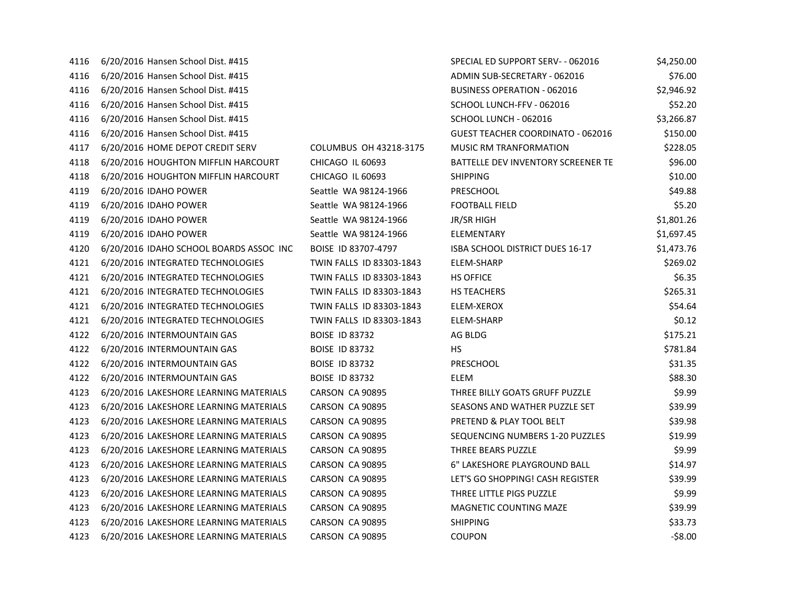| 4116 | 6/20/2016 Hansen School Dist. #415      |                          | SPECIAL ED SUPPORT SERV- - 062016         | \$4,250.00 |
|------|-----------------------------------------|--------------------------|-------------------------------------------|------------|
| 4116 | 6/20/2016 Hansen School Dist. #415      |                          | ADMIN SUB-SECRETARY - 062016              | \$76.00    |
| 4116 | 6/20/2016 Hansen School Dist. #415      |                          | <b>BUSINESS OPERATION - 062016</b>        | \$2,946.92 |
| 4116 | 6/20/2016 Hansen School Dist. #415      |                          | SCHOOL LUNCH-FFV - 062016                 | \$52.20    |
| 4116 | 6/20/2016 Hansen School Dist. #415      |                          | SCHOOL LUNCH - 062016                     | \$3,266.87 |
| 4116 | 6/20/2016 Hansen School Dist. #415      |                          | <b>GUEST TEACHER COORDINATO - 062016</b>  | \$150.00   |
| 4117 | 6/20/2016 HOME DEPOT CREDIT SERV        | COLUMBUS OH 43218-3175   | MUSIC RM TRANFORMATION                    | \$228.05   |
| 4118 | 6/20/2016 HOUGHTON MIFFLIN HARCOURT     | CHICAGO IL 60693         | <b>BATTELLE DEV INVENTORY SCREENER TE</b> | \$96.00    |
| 4118 | 6/20/2016 HOUGHTON MIFFLIN HARCOURT     | CHICAGO IL 60693         | <b>SHIPPING</b>                           | \$10.00    |
| 4119 | 6/20/2016 IDAHO POWER                   | Seattle WA 98124-1966    | PRESCHOOL                                 | \$49.88    |
| 4119 | 6/20/2016 IDAHO POWER                   | Seattle WA 98124-1966    | <b>FOOTBALL FIELD</b>                     | \$5.20     |
| 4119 | 6/20/2016 IDAHO POWER                   | Seattle WA 98124-1966    | JR/SR HIGH                                | \$1,801.26 |
| 4119 | 6/20/2016 IDAHO POWER                   | Seattle WA 98124-1966    | ELEMENTARY                                | \$1,697.45 |
| 4120 | 6/20/2016 IDAHO SCHOOL BOARDS ASSOC INC | BOISE ID 83707-4797      | ISBA SCHOOL DISTRICT DUES 16-17           | \$1,473.76 |
| 4121 | 6/20/2016 INTEGRATED TECHNOLOGIES       | TWIN FALLS ID 83303-1843 | ELEM-SHARP                                | \$269.02   |
| 4121 | 6/20/2016 INTEGRATED TECHNOLOGIES       | TWIN FALLS ID 83303-1843 | <b>HS OFFICE</b>                          | \$6.35     |
| 4121 | 6/20/2016 INTEGRATED TECHNOLOGIES       | TWIN FALLS ID 83303-1843 | <b>HS TEACHERS</b>                        | \$265.31   |
| 4121 | 6/20/2016 INTEGRATED TECHNOLOGIES       | TWIN FALLS ID 83303-1843 | ELEM-XEROX                                | \$54.64    |
| 4121 | 6/20/2016 INTEGRATED TECHNOLOGIES       | TWIN FALLS ID 83303-1843 | ELEM-SHARP                                | \$0.12     |
| 4122 | 6/20/2016 INTERMOUNTAIN GAS             | <b>BOISE ID 83732</b>    | AG BLDG                                   | \$175.21   |
| 4122 | 6/20/2016 INTERMOUNTAIN GAS             | <b>BOISE ID 83732</b>    | НS                                        | \$781.84   |
| 4122 | 6/20/2016 INTERMOUNTAIN GAS             | <b>BOISE ID 83732</b>    | PRESCHOOL                                 | \$31.35    |
| 4122 | 6/20/2016 INTERMOUNTAIN GAS             | <b>BOISE ID 83732</b>    | <b>ELEM</b>                               | \$88.30    |
| 4123 | 6/20/2016 LAKESHORE LEARNING MATERIALS  | CARSON CA 90895          | THREE BILLY GOATS GRUFF PUZZLE            | \$9.99     |
| 4123 | 6/20/2016 LAKESHORE LEARNING MATERIALS  | CARSON CA 90895          | SEASONS AND WATHER PUZZLE SET             | \$39.99    |
| 4123 | 6/20/2016 LAKESHORE LEARNING MATERIALS  | CARSON CA 90895          | PRETEND & PLAY TOOL BELT                  | \$39.98    |
| 4123 | 6/20/2016 LAKESHORE LEARNING MATERIALS  | CARSON CA 90895          | SEQUENCING NUMBERS 1-20 PUZZLES           | \$19.99    |
| 4123 | 6/20/2016 LAKESHORE LEARNING MATERIALS  | CARSON CA 90895          | THREE BEARS PUZZLE                        | \$9.99     |
| 4123 | 6/20/2016 LAKESHORE LEARNING MATERIALS  | CARSON CA 90895          | 6" LAKESHORE PLAYGROUND BALL              | \$14.97    |
| 4123 | 6/20/2016 LAKESHORE LEARNING MATERIALS  | CARSON CA 90895          | LET'S GO SHOPPING! CASH REGISTER          | \$39.99    |
| 4123 | 6/20/2016 LAKESHORE LEARNING MATERIALS  | CARSON CA 90895          | THREE LITTLE PIGS PUZZLE                  | \$9.99     |
| 4123 | 6/20/2016 LAKESHORE LEARNING MATERIALS  | CARSON CA 90895          | MAGNETIC COUNTING MAZE                    | \$39.99    |
| 4123 | 6/20/2016 LAKESHORE LEARNING MATERIALS  | CARSON CA 90895          | <b>SHIPPING</b>                           | \$33.73    |
| 4123 | 6/20/2016 LAKESHORE LEARNING MATERIALS  | CARSON CA 90895          | <b>COUPON</b>                             | $-58.00$   |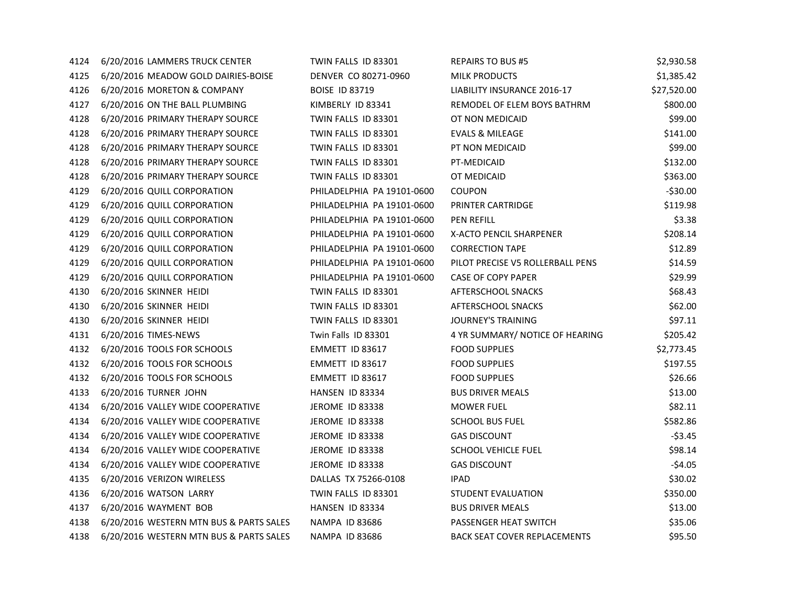| 4124 | 6/20/2016 LAMMERS TRUCK CENTER          | TWIN FALLS ID 83301        | <b>REPAIRS TO BUS #5</b>            | \$2,930.58  |
|------|-----------------------------------------|----------------------------|-------------------------------------|-------------|
| 4125 | 6/20/2016 MEADOW GOLD DAIRIES-BOISE     | DENVER CO 80271-0960       | <b>MILK PRODUCTS</b>                | \$1,385.42  |
| 4126 | 6/20/2016 MORETON & COMPANY             | <b>BOISE ID 83719</b>      | LIABILITY INSURANCE 2016-17         | \$27,520.00 |
| 4127 | 6/20/2016 ON THE BALL PLUMBING          | KIMBERLY ID 83341          | REMODEL OF ELEM BOYS BATHRM         | \$800.00    |
| 4128 | 6/20/2016 PRIMARY THERAPY SOURCE        | TWIN FALLS ID 83301        | OT NON MEDICAID                     | \$99.00     |
| 4128 | 6/20/2016 PRIMARY THERAPY SOURCE        | TWIN FALLS ID 83301        | <b>EVALS &amp; MILEAGE</b>          | \$141.00    |
| 4128 | 6/20/2016 PRIMARY THERAPY SOURCE        | TWIN FALLS ID 83301        | PT NON MEDICAID                     | \$99.00     |
| 4128 | 6/20/2016 PRIMARY THERAPY SOURCE        | TWIN FALLS ID 83301        | PT-MEDICAID                         | \$132.00    |
| 4128 | 6/20/2016 PRIMARY THERAPY SOURCE        | TWIN FALLS ID 83301        | OT MEDICAID                         | \$363.00    |
| 4129 | 6/20/2016 QUILL CORPORATION             | PHILADELPHIA PA 19101-0600 | <b>COUPON</b>                       | $-530.00$   |
| 4129 | 6/20/2016 QUILL CORPORATION             | PHILADELPHIA PA 19101-0600 | PRINTER CARTRIDGE                   | \$119.98    |
| 4129 | 6/20/2016 QUILL CORPORATION             | PHILADELPHIA PA 19101-0600 | <b>PEN REFILL</b>                   | \$3.38      |
| 4129 | 6/20/2016 QUILL CORPORATION             | PHILADELPHIA PA 19101-0600 | X-ACTO PENCIL SHARPENER             | \$208.14    |
| 4129 | 6/20/2016 QUILL CORPORATION             | PHILADELPHIA PA 19101-0600 | <b>CORRECTION TAPE</b>              | \$12.89     |
| 4129 | 6/20/2016 QUILL CORPORATION             | PHILADELPHIA PA 19101-0600 | PILOT PRECISE V5 ROLLERBALL PENS    | \$14.59     |
| 4129 | 6/20/2016 QUILL CORPORATION             | PHILADELPHIA PA 19101-0600 | <b>CASE OF COPY PAPER</b>           | \$29.99     |
| 4130 | 6/20/2016 SKINNER HEIDI                 | TWIN FALLS ID 83301        | AFTERSCHOOL SNACKS                  | \$68.43     |
| 4130 | 6/20/2016 SKINNER HEIDI                 | TWIN FALLS ID 83301        | AFTERSCHOOL SNACKS                  | \$62.00     |
| 4130 | 6/20/2016 SKINNER HEIDI                 | TWIN FALLS ID 83301        | JOURNEY'S TRAINING                  | \$97.11     |
| 4131 | 6/20/2016 TIMES-NEWS                    | Twin Falls ID 83301        | 4 YR SUMMARY/ NOTICE OF HEARING     | \$205.42    |
| 4132 | 6/20/2016 TOOLS FOR SCHOOLS             | EMMETT ID 83617            | <b>FOOD SUPPLIES</b>                | \$2,773.45  |
| 4132 | 6/20/2016 TOOLS FOR SCHOOLS             | EMMETT ID 83617            | <b>FOOD SUPPLIES</b>                | \$197.55    |
| 4132 | 6/20/2016 TOOLS FOR SCHOOLS             | EMMETT ID 83617            | <b>FOOD SUPPLIES</b>                | \$26.66     |
| 4133 | 6/20/2016 TURNER JOHN                   | HANSEN ID 83334            | <b>BUS DRIVER MEALS</b>             | \$13.00     |
| 4134 | 6/20/2016 VALLEY WIDE COOPERATIVE       | JEROME ID 83338            | <b>MOWER FUEL</b>                   | \$82.11     |
| 4134 | 6/20/2016 VALLEY WIDE COOPERATIVE       | JEROME ID 83338            | <b>SCHOOL BUS FUEL</b>              | \$582.86    |
| 4134 | 6/20/2016 VALLEY WIDE COOPERATIVE       | JEROME ID 83338            | <b>GAS DISCOUNT</b>                 | $-53.45$    |
| 4134 | 6/20/2016 VALLEY WIDE COOPERATIVE       | <b>JEROME ID 83338</b>     | <b>SCHOOL VEHICLE FUEL</b>          | \$98.14     |
| 4134 | 6/20/2016 VALLEY WIDE COOPERATIVE       | JEROME ID 83338            | <b>GAS DISCOUNT</b>                 | $-54.05$    |
| 4135 | 6/20/2016 VERIZON WIRELESS              | DALLAS TX 75266-0108       | <b>IPAD</b>                         | \$30.02     |
| 4136 | 6/20/2016 WATSON LARRY                  | TWIN FALLS ID 83301        | <b>STUDENT EVALUATION</b>           | \$350.00    |
| 4137 | 6/20/2016 WAYMENT BOB                   | HANSEN ID 83334            | <b>BUS DRIVER MEALS</b>             | \$13.00     |
| 4138 | 6/20/2016 WESTERN MTN BUS & PARTS SALES | NAMPA ID 83686             | PASSENGER HEAT SWITCH               | \$35.06     |
| 4138 | 6/20/2016 WESTERN MTN BUS & PARTS SALES | <b>NAMPA ID 83686</b>      | <b>BACK SEAT COVER REPLACEMENTS</b> | \$95.50     |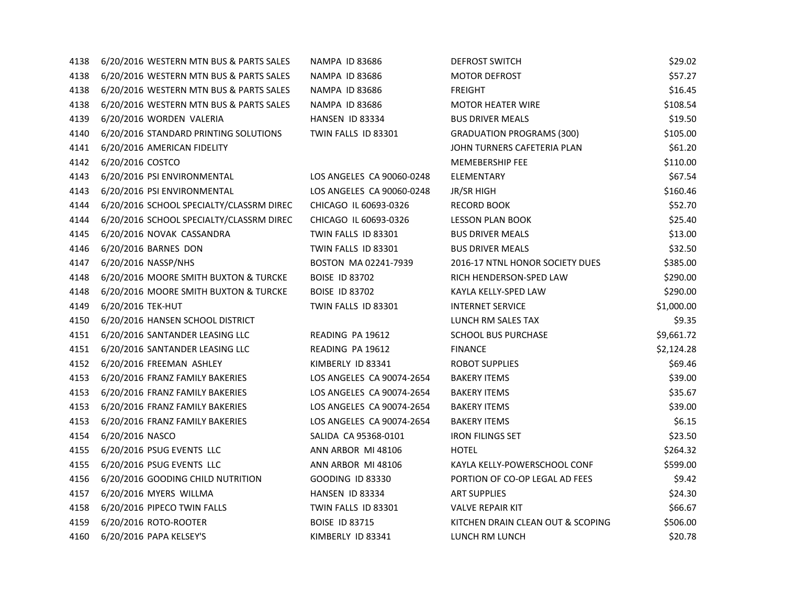| 4138 | 6/20/2016 WESTERN MTN BUS & PARTS SALES  | <b>NAMPA ID 83686</b>     | <b>DEFROST SWITCH</b>             | \$29.02    |
|------|------------------------------------------|---------------------------|-----------------------------------|------------|
| 4138 | 6/20/2016 WESTERN MTN BUS & PARTS SALES  | <b>NAMPA ID 83686</b>     | <b>MOTOR DEFROST</b>              | \$57.27    |
| 4138 | 6/20/2016 WESTERN MTN BUS & PARTS SALES  | <b>NAMPA ID 83686</b>     | <b>FREIGHT</b>                    | \$16.45    |
| 4138 | 6/20/2016 WESTERN MTN BUS & PARTS SALES  | NAMPA ID 83686            | <b>MOTOR HEATER WIRE</b>          | \$108.54   |
| 4139 | 6/20/2016 WORDEN VALERIA                 | HANSEN ID 83334           | <b>BUS DRIVER MEALS</b>           | \$19.50    |
| 4140 | 6/20/2016 STANDARD PRINTING SOLUTIONS    | TWIN FALLS ID 83301       | <b>GRADUATION PROGRAMS (300)</b>  | \$105.00   |
| 4141 | 6/20/2016 AMERICAN FIDELITY              |                           | JOHN TURNERS CAFETERIA PLAN       | \$61.20    |
| 4142 | 6/20/2016 COSTCO                         |                           | <b>MEMEBERSHIP FEE</b>            | \$110.00   |
| 4143 | 6/20/2016 PSI ENVIRONMENTAL              | LOS ANGELES CA 90060-0248 | ELEMENTARY                        | \$67.54    |
| 4143 | 6/20/2016 PSI ENVIRONMENTAL              | LOS ANGELES CA 90060-0248 | JR/SR HIGH                        | \$160.46   |
| 4144 | 6/20/2016 SCHOOL SPECIALTY/CLASSRM DIREC | CHICAGO IL 60693-0326     | <b>RECORD BOOK</b>                | \$52.70    |
| 4144 | 6/20/2016 SCHOOL SPECIALTY/CLASSRM DIREC | CHICAGO IL 60693-0326     | LESSON PLAN BOOK                  | \$25.40    |
| 4145 | 6/20/2016 NOVAK CASSANDRA                | TWIN FALLS ID 83301       | <b>BUS DRIVER MEALS</b>           | \$13.00    |
| 4146 | 6/20/2016 BARNES DON                     | TWIN FALLS ID 83301       | <b>BUS DRIVER MEALS</b>           | \$32.50    |
| 4147 | 6/20/2016 NASSP/NHS                      | BOSTON MA 02241-7939      | 2016-17 NTNL HONOR SOCIETY DUES   | \$385.00   |
| 4148 | 6/20/2016 MOORE SMITH BUXTON & TURCKE    | <b>BOISE ID 83702</b>     | RICH HENDERSON-SPED LAW           | \$290.00   |
| 4148 | 6/20/2016 MOORE SMITH BUXTON & TURCKE    | <b>BOISE ID 83702</b>     | KAYLA KELLY-SPED LAW              | \$290.00   |
| 4149 | 6/20/2016 TEK-HUT                        | TWIN FALLS ID 83301       | <b>INTERNET SERVICE</b>           | \$1,000.00 |
| 4150 | 6/20/2016 HANSEN SCHOOL DISTRICT         |                           | LUNCH RM SALES TAX                | \$9.35     |
| 4151 | 6/20/2016 SANTANDER LEASING LLC          | READING PA 19612          | <b>SCHOOL BUS PURCHASE</b>        | \$9,661.72 |
| 4151 | 6/20/2016 SANTANDER LEASING LLC          | READING PA 19612          | <b>FINANCE</b>                    | \$2,124.28 |
| 4152 | 6/20/2016 FREEMAN ASHLEY                 | KIMBERLY ID 83341         | <b>ROBOT SUPPLIES</b>             | \$69.46    |
| 4153 | 6/20/2016 FRANZ FAMILY BAKERIES          | LOS ANGELES CA 90074-2654 | <b>BAKERY ITEMS</b>               | \$39.00    |
| 4153 | 6/20/2016 FRANZ FAMILY BAKERIES          | LOS ANGELES CA 90074-2654 | <b>BAKERY ITEMS</b>               | \$35.67    |
| 4153 | 6/20/2016 FRANZ FAMILY BAKERIES          | LOS ANGELES CA 90074-2654 | <b>BAKERY ITEMS</b>               | \$39.00    |
| 4153 | 6/20/2016 FRANZ FAMILY BAKERIES          | LOS ANGELES CA 90074-2654 | <b>BAKERY ITEMS</b>               | \$6.15     |
| 4154 | 6/20/2016 NASCO                          | SALIDA CA 95368-0101      | <b>IRON FILINGS SET</b>           | \$23.50    |
| 4155 | 6/20/2016 PSUG EVENTS LLC                | ANN ARBOR MI 48106        | <b>HOTEL</b>                      | \$264.32   |
| 4155 | 6/20/2016 PSUG EVENTS LLC                | ANN ARBOR MI 48106        | KAYLA KELLY-POWERSCHOOL CONF      | \$599.00   |
| 4156 | 6/20/2016 GOODING CHILD NUTRITION        | <b>GOODING ID 83330</b>   | PORTION OF CO-OP LEGAL AD FEES    | \$9.42     |
| 4157 | 6/20/2016 MYERS WILLMA                   | HANSEN ID 83334           | <b>ART SUPPLIES</b>               | \$24.30    |
| 4158 | 6/20/2016 PIPECO TWIN FALLS              | TWIN FALLS ID 83301       | <b>VALVE REPAIR KIT</b>           | \$66.67    |
| 4159 | 6/20/2016 ROTO-ROOTER                    | <b>BOISE ID 83715</b>     | KITCHEN DRAIN CLEAN OUT & SCOPING | \$506.00   |
| 4160 | 6/20/2016 PAPA KELSEY'S                  | KIMBERLY ID 83341         | LUNCH RM LUNCH                    | \$20.78    |
|      |                                          |                           |                                   |            |